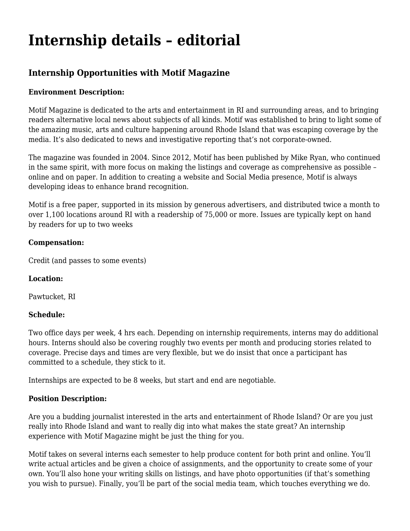# **[Internship details – editorial](https://motifri.com/internship-details-editorial/)**

# **Internship Opportunities with Motif Magazine**

# **Environment Description:**

Motif Magazine is dedicated to the arts and entertainment in RI and surrounding areas, and to bringing readers alternative local news about subjects of all kinds. Motif was established to bring to light some of the amazing music, arts and culture happening around Rhode Island that was escaping coverage by the media. It's also dedicated to news and investigative reporting that's not corporate-owned.

The magazine was founded in 2004. Since 2012, Motif has been published by Mike Ryan, who continued in the same spirit, with more focus on making the listings and coverage as comprehensive as possible – online and on paper. In addition to creating a website and Social Media presence, Motif is always developing ideas to enhance brand recognition.

Motif is a free paper, supported in its mission by generous advertisers, and distributed twice a month to over 1,100 locations around RI with a readership of 75,000 or more. Issues are typically kept on hand by readers for up to two weeks

#### **Compensation:**

Credit (and passes to some events)

# **Location:**

Pawtucket, RI

#### **Schedule:**

Two office days per week, 4 hrs each. Depending on internship requirements, interns may do additional hours. Interns should also be covering roughly two events per month and producing stories related to coverage. Precise days and times are very flexible, but we do insist that once a participant has committed to a schedule, they stick to it.

Internships are expected to be 8 weeks, but start and end are negotiable.

# **Position Description:**

Are you a budding journalist interested in the arts and entertainment of Rhode Island? Or are you just really into Rhode Island and want to really dig into what makes the state great? An internship experience with Motif Magazine might be just the thing for you.

Motif takes on several interns each semester to help produce content for both print and online. You'll write actual articles and be given a choice of assignments, and the opportunity to create some of your own. You'll also hone your writing skills on listings, and have photo opportunities (if that's something you wish to pursue). Finally, you'll be part of the social media team, which touches everything we do.